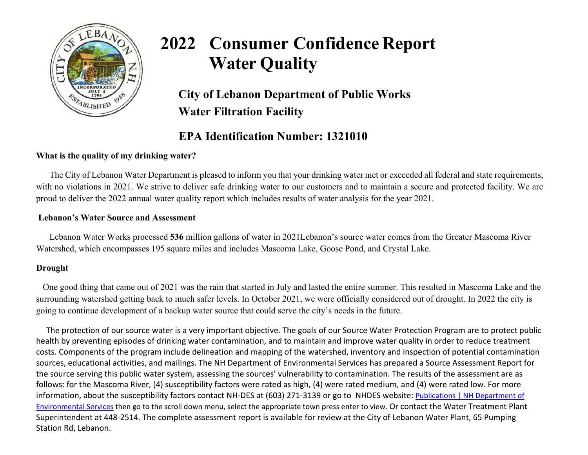

# **2022 Consumer Confidence Report Water Quality**

**City of Lebanon Department of Public Works Water Filtration Facility**

# **EPA Identification Number: 1321010**

# **What is the quality of my drinking water?**

The City of Lebanon Water Department is pleased to inform you that your drinking water met or exceeded all federal and state requirements, with no violations in 2021. We strive to deliver safe drinking water to our customers and to maintain a secure and protected facility. We are proud to deliver the 2022 annual water quality report which includes results of water analysis for the year 2021.

## **Lebanon's Water Source and Assessment**

Lebanon Water Works processed **536** million gallons of water in 2021Lebanon's source water comes from the Greater Mascoma River Watershed, which encompasses 195 square miles and includes Mascoma Lake, Goose Pond, and Crystal Lake.

# **Drought**

One good thing that came out of 2021 was the rain that started in July and lasted the entire summer. This resulted in Mascoma Lake and the surrounding watershed getting back to much safer levels. In October 2021, we were officially considered out of drought. In 2022 the city is going to continue development of a backup water source that could serve the city's needs in the future.

 The protection of our source water is a very important objective. The goals of our Source Water Protection Program are to protect public health by preventing episodes of drinking water contamination, and to maintain and improve water quality in order to reduce treatment costs. Components of the program include delineation and mapping of the watershed, inventory and inspection of potential contamination sources, educational activities, and mailings. The NH Department of Environmental Services has prepared a Source Assessment Report for the source serving this public water system, assessing the sources' vulnerability to contamination. The results of the assessment are as follows: for the Mascoma River, (4) susceptibility factors were rated as high, (4) were rated medium, and (4) were rated low. For more information, about the susceptibility factors contact NH-DES at (603) 271-3139 or go to NHDES website: Publications | NH Department of [Environmental Services](https://urldefense.proofpoint.com/v2/url?u=https-3A__www.des.nh.gov_resource-2Dcenter_publications-3Fkeys-3Dccr-26purpose-3D-26subcategory-3DDrinking-2BWater&d=DwMFAg&c=euGZstcaTDllvimEN8b7jXrwqOf-v5A_CdpgnVfiiMM&r=jZtpB19SK47MhZbsSXwtBKrXrpbQPp5SkBlvZVqgTqw&m=vPK29oEmmDVQVW0LB4fIUeMTzriX8j1WqP2vp4hl4-s&s=HFuZXHgX4HH-GpA842FF1d0jdVuonAppmr2NZeCsuOA&e=) then go to the scroll down menu, select the appropriate town press enter to view. Or contact the Water Treatment Plant Superintendent at 448-2514. The complete assessment report is available for review at the City of Lebanon Water Plant, 65 Pumping Station Rd, Lebanon.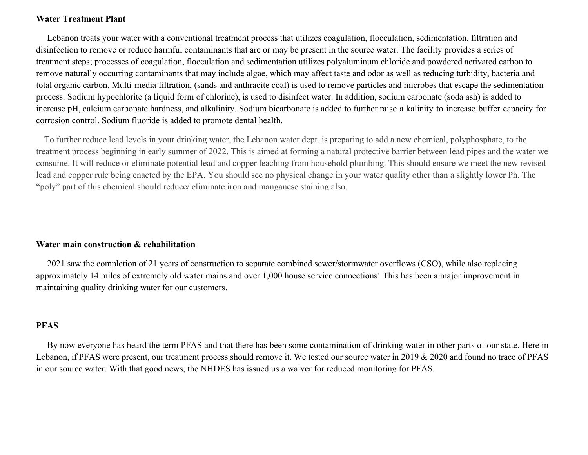#### **Water Treatment Plant**

 Lebanon treats your water with a conventional treatment process that utilizes coagulation, flocculation, sedimentation, filtration and disinfection to remove or reduce harmful contaminants that are or may be present in the source water. The facility provides a series of treatment steps; processes of coagulation, flocculation and sedimentation utilizes polyaluminum chloride and powdered activated carbon to remove naturally occurring contaminants that may include algae, which may affect taste and odor as well as reducing turbidity, bacteria and total organic carbon. Multi-media filtration, (sands and anthracite coal) is used to remove particles and microbes that escape the sedimentation process. Sodium hypochlorite (a liquid form of chlorine), is used to disinfect water. In addition, sodium carbonate (soda ash) is added to increase pH, calcium carbonate hardness, and alkalinity. Sodium bicarbonate is added to further raise alkalinity to increase buffer capacity for corrosion control. Sodium fluoride is added to promote dental health.

 To further reduce lead levels in your drinking water, the Lebanon water dept. is preparing to add a new chemical, polyphosphate, to the treatment process beginning in early summer of 2022. This is aimed at forming a natural protective barrier between lead pipes and the water we consume. It will reduce or eliminate potential lead and copper leaching from household plumbing. This should ensure we meet the new revised lead and copper rule being enacted by the EPA. You should see no physical change in your water quality other than a slightly lower Ph. The "poly" part of this chemical should reduce/ eliminate iron and manganese staining also.

#### **Water main construction & rehabilitation**

 2021 saw the completion of 21 years of construction to separate combined sewer/stormwater overflows (CSO), while also replacing approximately 14 miles of extremely old water mains and over 1,000 house service connections! This has been a major improvement in maintaining quality drinking water for our customers.

## **PFAS**

 By now everyone has heard the term PFAS and that there has been some contamination of drinking water in other parts of our state. Here in Lebanon, if PFAS were present, our treatment process should remove it. We tested our source water in 2019 & 2020 and found no trace of PFAS in our source water. With that good news, the NHDES has issued us a waiver for reduced monitoring for PFAS.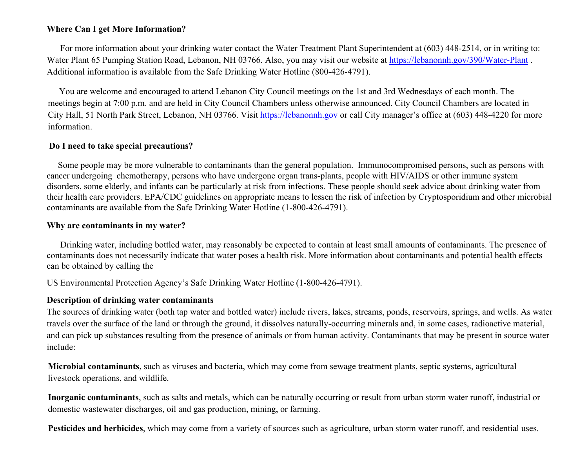## **Where Can I get More Information?**

For more information about your drinking water contact the Water Treatment Plant Superintendent at (603) 448-2514, or in writing to: Water Plant 65 Pumping Station Road, Lebanon, NH 03766. Also, you may visit our website at<https://lebanonnh.gov/390/Water-Plant> . Additional information is available from the Safe Drinking Water Hotline (800-426-4791).

 You are welcome and encouraged to attend Lebanon City Council meetings on the 1st and 3rd Wednesdays of each month. The meetings begin at 7:00 p.m. and are held in City Council Chambers unless otherwise announced. City Council Chambers are located in City Hall, 51 North Park Street, Lebanon, NH 03766. Visit [https://lebanonnh.gov o](https://lebanonnh.gov/)r call City manager's office at (603) 448-4220 for more information.

#### **Do I need to take special precautions?**

 Some people may be more vulnerable to contaminants than the general population. Immunocompromised persons, such as persons with cancer undergoing chemotherapy, persons who have undergone organ trans-plants, people with HIV/AIDS or other immune system disorders, some elderly, and infants can be particularly at risk from infections. These people should seek advice about drinking water from their health care providers. EPA/CDC guidelines on appropriate means to lessen the risk of infection by Cryptosporidium and other microbial contaminants are available from the Safe Drinking Water Hotline (1-800-426-4791).

#### **Why are contaminants in my water?**

 Drinking water, including bottled water, may reasonably be expected to contain at least small amounts of contaminants. The presence of contaminants does not necessarily indicate that water poses a health risk. More information about contaminants and potential health effects can be obtained by calling the

US Environmental Protection Agency's Safe Drinking Water Hotline (1-800-426-4791).

#### **Description of drinking water contaminants**

The sources of drinking water (both tap water and bottled water) include rivers, lakes, streams, ponds, reservoirs, springs, and wells. As water travels over the surface of the land or through the ground, it dissolves naturally-occurring minerals and, in some cases, radioactive material, and can pick up substances resulting from the presence of animals or from human activity. Contaminants that may be present in source water include:

**Microbial contaminants**, such as viruses and bacteria, which may come from sewage treatment plants, septic systems, agricultural livestock operations, and wildlife.

**Inorganic contaminants**, such as salts and metals, which can be naturally occurring or result from urban storm water runoff, industrial or domestic wastewater discharges, oil and gas production, mining, or farming.

**Pesticides and herbicides**, which may come from a variety of sources such as agriculture, urban storm water runoff, and residential uses.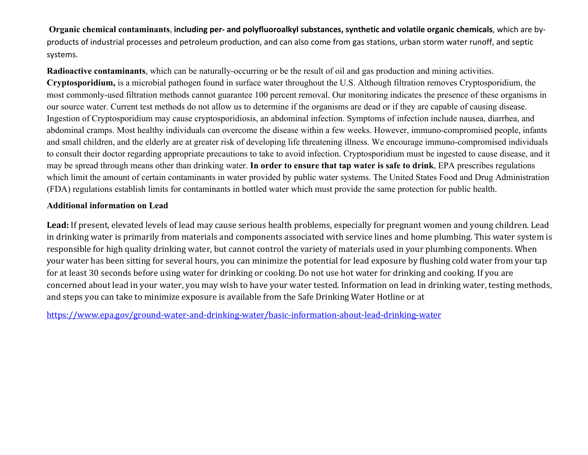**Organic chemical contaminants**, **including per- and polyfluoroalkyl substances, synthetic and volatile organic chemicals**, which are byproducts of industrial processes and petroleum production, and can also come from gas stations, urban storm water runoff, and septic systems.

**Radioactive contaminants**, which can be naturally-occurring or be the result of oil and gas production and mining activities. **Cryptosporidium,** is a microbial pathogen found in surface water throughout the U.S. Although filtration removes Cryptosporidium, the most commonly-used filtration methods cannot guarantee 100 percent removal. Our monitoring indicates the presence of these organisms in our source water. Current test methods do not allow us to determine if the organisms are dead or if they are capable of causing disease. Ingestion of Cryptosporidium may cause cryptosporidiosis, an abdominal infection. Symptoms of infection include nausea, diarrhea, and abdominal cramps. Most healthy individuals can overcome the disease within a few weeks. However, immuno-compromised people, infants and small children, and the elderly are at greater risk of developing life threatening illness. We encourage immuno-compromised individuals to consult their doctor regarding appropriate precautions to take to avoid infection. Cryptosporidium must be ingested to cause disease, and it may be spread through means other than drinking water. **In order to ensure that tap water is safe to drink**, EPA prescribes regulations which limit the amount of certain contaminants in water provided by public water systems. The United States Food and Drug Administration (FDA) regulations establish limits for contaminants in bottled water which must provide the same protection for public health.

## **Additional information on Lead**

**Lead:** If present, elevated levels of lead may cause serious health problems, especially for pregnant women and young children. Lead in drinking water is primarily from materials and components associated with service lines and home plumbing. This water system is responsible for high quality drinking water, but cannot control the variety of materials used in your plumbing components. When your water has been sitting for several hours, you can minimize the potential for lead exposure by flushing cold water from your tap for at least 30 seconds before using water for drinking or cooking. Do not use hot water for drinking and cooking. If you are concerned about lead in your water, you may wish to have your water tested. Information on lead in drinking water, [testing methods,](https://www.epa.gov/ground-water-and-drinking-water/basic-information-about-lead-drinking-water)  [and steps you can take to minimize exposure is available from the Safe Drinking Water H](https://www.epa.gov/ground-water-and-drinking-water/basic-information-about-lead-drinking-water)otline or at

[https://www.epa.gov/ground-](http://www.epa.gov/ground-water-and-drinking-water/basic-information-about-lead-drinking-water)water-[and-drinking-water/basic-information-about-lead-drinking-water](http://www.epa.gov/ground-water-and-drinking-water/basic-information-about-lead-drinking-water)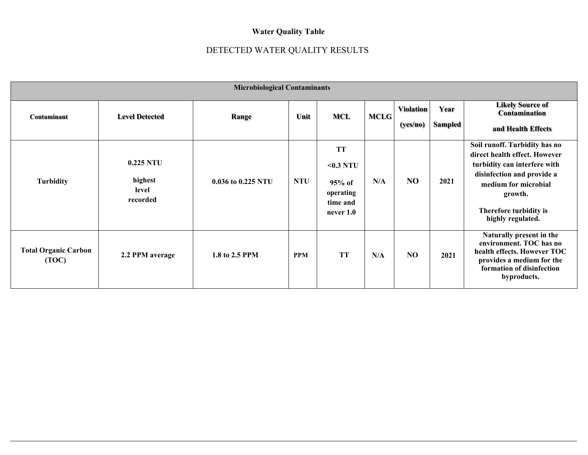# **Water Quality Table**

# DETECTED WATER QUALITY RESULTS

| <b>Microbiological Contaminants</b>  |                                             |                    |            |                                                                          |             |                              |                 |                                                                                                                                                                                                                |
|--------------------------------------|---------------------------------------------|--------------------|------------|--------------------------------------------------------------------------|-------------|------------------------------|-----------------|----------------------------------------------------------------------------------------------------------------------------------------------------------------------------------------------------------------|
| Contaminant                          | <b>Level Detected</b>                       | Range              | Unit       | <b>MCL</b>                                                               | <b>MCLG</b> | <b>Violation</b><br>(yes/no) | Year<br>Sampled | <b>Likely Source of</b><br>Contamination<br>and Health Effects                                                                                                                                                 |
| <b>Turbidity</b>                     | $0.225$ NTU<br>highest<br>level<br>recorded | 0.036 to 0.225 NTU | <b>NTU</b> | <b>TT</b><br>$0.3$ NTU<br>$95%$ of<br>operating<br>time and<br>never 1.0 | N/A         | N <sub>O</sub>               | 2021            | Soil runoff. Turbidity has no<br>direct health effect. However<br>turbidity can interfere with<br>disinfection and provide a<br>medium for microbial<br>growth.<br>Therefore turbidity is<br>highly regulated. |
| <b>Total Organic Carbon</b><br>(TOC) | 2.2 PPM average                             | 1.8 to 2.5 PPM     | <b>PPM</b> | <b>TT</b>                                                                | N/A         | NO                           | 2021            | Naturally present in the<br>environment. TOC has no<br>health effects. However TOC<br>provides a medium for the<br>formation of disinfection<br>byproducts.                                                    |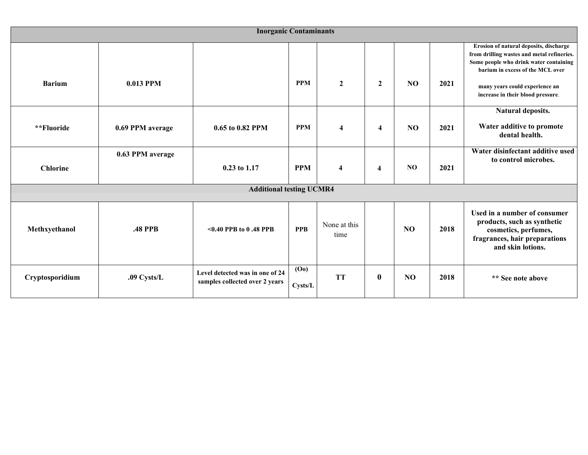| <b>Inorganic Contaminants</b>   |                  |                                                                   |                              |                         |                         |                |      |                                                                                                                                                                                                                                           |  |
|---------------------------------|------------------|-------------------------------------------------------------------|------------------------------|-------------------------|-------------------------|----------------|------|-------------------------------------------------------------------------------------------------------------------------------------------------------------------------------------------------------------------------------------------|--|
| <b>Barium</b>                   | 0.013 PPM        |                                                                   | <b>PPM</b>                   | $\overline{2}$          | $\mathbf{2}$            | N <sub>O</sub> | 2021 | Erosion of natural deposits, discharge<br>from drilling wastes and metal refineries.<br>Some people who drink water containing<br>barium in excess of the MCL over<br>many years could experience an<br>increase in their blood pressure. |  |
| **Fluoride                      | 0.69 PPM average | 0.65 to 0.82 PPM                                                  | <b>PPM</b>                   | $\overline{\mathbf{4}}$ | 4                       | N <sub>O</sub> | 2021 | Natural deposits.<br>Water additive to promote<br>dental health.                                                                                                                                                                          |  |
| <b>Chlorine</b>                 | 0.63 PPM average | 0.23 to 1.17                                                      | <b>PPM</b>                   | $\overline{\mathbf{4}}$ | $\overline{\mathbf{4}}$ | N <sub>O</sub> | 2021 | Water disinfectant additive used<br>to control microbes.                                                                                                                                                                                  |  |
| <b>Additional testing UCMR4</b> |                  |                                                                   |                              |                         |                         |                |      |                                                                                                                                                                                                                                           |  |
| Methxyethanol                   | <b>.48 PPB</b>   | $<0.40$ PPB to 0.48 PPB                                           | <b>PPB</b>                   | None at this<br>time    |                         | N <sub>O</sub> | 2018 | Used in a number of consumer<br>products, such as synthetic<br>cosmetics, perfumes,<br>fragrances, hair preparations<br>and skin lotions.                                                                                                 |  |
| Cryptosporidium                 | .09 Cysts/L      | Level detected was in one of 24<br>samples collected over 2 years | (O <sub>0</sub> )<br>Cysts/L | <b>TT</b>               | $\bf{0}$                | NO             | 2018 | ** See note above                                                                                                                                                                                                                         |  |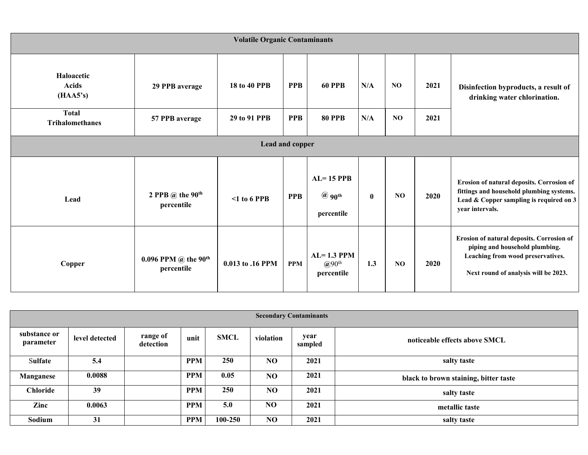| <b>Volatile Organic Contaminants</b>   |                                                       |                            |            |                                                        |          |     |      |                                                                                                                                                          |  |  |
|----------------------------------------|-------------------------------------------------------|----------------------------|------------|--------------------------------------------------------|----------|-----|------|----------------------------------------------------------------------------------------------------------------------------------------------------------|--|--|
| Haloacetic<br><b>Acids</b><br>(HAA5's) | 29 PPB average                                        | <b>PPB</b><br>18 to 40 PPB |            | <b>60 PPB</b>                                          | N/A      | NO. | 2021 | Disinfection byproducts, a result of<br>drinking water chlorination.                                                                                     |  |  |
| <b>Total</b><br><b>Trihalomethanes</b> | 57 PPB average                                        | 29 to 91 PPB               | <b>PPB</b> | <b>80 PPB</b>                                          | N/A      | NO. | 2021 |                                                                                                                                                          |  |  |
| Lead and copper                        |                                                       |                            |            |                                                        |          |     |      |                                                                                                                                                          |  |  |
| Lead                                   | 2 PPB $\omega$ the 90 <sup>th</sup><br>percentile     | $\leq 1$ to 6 PPB          | <b>PPB</b> | $AL=15$ PPB<br>$\omega$ 90 <sup>th</sup><br>percentile | $\bf{0}$ | NO  | 2020 | Erosion of natural deposits. Corrosion of<br>fittings and household plumbing systems.<br>Lead & Copper sampling is required on 3<br>year intervals.      |  |  |
| Copper                                 | 0.096 PPM $\omega$ the 90 <sup>th</sup><br>percentile | 0.013 to .16 PPM           | <b>PPM</b> | $AL=1.3$ PPM<br>$(200^{\text{th}})$<br>percentile      | 1.3      | NO  | 2020 | Erosion of natural deposits. Corrosion of<br>piping and household plumbing.<br>Leaching from wood preservatives.<br>Next round of analysis will be 2023. |  |  |

| <b>Secondary Contaminants</b> |                |                       |            |             |                 |                 |                                       |  |  |
|-------------------------------|----------------|-----------------------|------------|-------------|-----------------|-----------------|---------------------------------------|--|--|
| substance or<br>parameter     | level detected | range of<br>detection | unit       | <b>SMCL</b> | violation       | year<br>sampled | noticeable effects above SMCL         |  |  |
| Sulfate                       | 5.4            |                       | <b>PPM</b> | 250         | NO              | 2021            | salty taste                           |  |  |
| Manganese                     | 0.0088         |                       | <b>PPM</b> | 0.05        | NO <sub>1</sub> | 2021            | black to brown staining, bitter taste |  |  |
| <b>Chloride</b>               | 39             |                       | <b>PPM</b> | <b>250</b>  | NO <sub>1</sub> | 2021            | salty taste                           |  |  |
| Zinc                          | 0.0063         |                       | <b>PPM</b> | 5.0         | NO.             | 2021            | metallic taste                        |  |  |
| Sodium                        | 31             |                       | <b>PPM</b> | 100-250     | N <sub>O</sub>  | 2021            | salty taste                           |  |  |